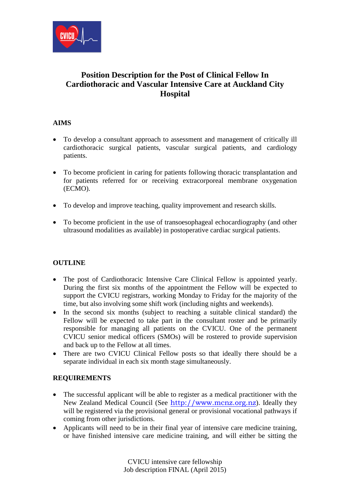

# **Position Description for the Post of Clinical Fellow In Cardiothoracic and Vascular Intensive Care at Auckland City Hospital**

## **AIMS**

- To develop a consultant approach to assessment and management of critically ill cardiothoracic surgical patients, vascular surgical patients, and cardiology patients.
- To become proficient in caring for patients following thoracic transplantation and for patients referred for or receiving extracorporeal membrane oxygenation (ECMO).
- To develop and improve teaching, quality improvement and research skills.
- To become proficient in the use of transoesophageal echocardiography (and other ultrasound modalities as available) in postoperative cardiac surgical patients.

## **OUTLINE**

- The post of Cardiothoracic Intensive Care Clinical Fellow is appointed yearly. During the first six months of the appointment the Fellow will be expected to support the CVICU registrars, working Monday to Friday for the majority of the time, but also involving some shift work (including nights and weekends).
- In the second six months (subject to reaching a suitable clinical standard) the Fellow will be expected to take part in the consultant roster and be primarily responsible for managing all patients on the CVICU. One of the permanent CVICU senior medical officers (SMOs) will be rostered to provide supervision and back up to the Fellow at all times.
- There are two CVICU Clinical Fellow posts so that ideally there should be a separate individual in each six month stage simultaneously.

#### **REQUIREMENTS**

- The successful applicant will be able to register as a medical practitioner with the New Zealand Medical Council (See [http://www.mcnz.org.nz](http://www.mcnz.org.nz/)). Ideally they will be registered via the provisional general or provisional vocational pathways if coming from other jurisdictions.
- Applicants will need to be in their final year of intensive care medicine training, or have finished intensive care medicine training, and will either be sitting the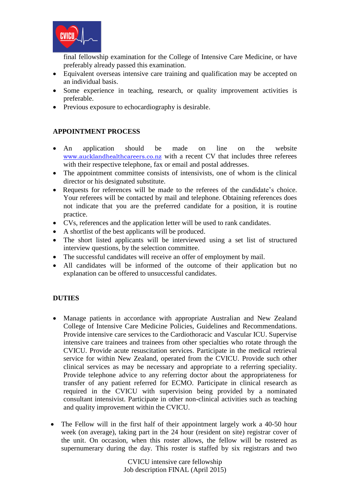

final fellowship examination for the College of Intensive Care Medicine, or have preferably already passed this examination.

- Equivalent overseas intensive care training and qualification may be accepted on an individual basis.
- Some experience in teaching, research, or quality improvement activities is preferable.
- Previous exposure to echocardiography is desirable.

### **APPOINTMENT PROCESS**

- An application should be made on line on the website [www.aucklandhealthcareers.co.nz](http://www.aucklandhealthcareers.co.nz/) with a recent CV that includes three referees with their respective telephone, fax or email and postal addresses.
- The appointment committee consists of intensivists, one of whom is the clinical director or his designated substitute.
- Requests for references will be made to the referees of the candidate's choice. Your referees will be contacted by mail and telephone. Obtaining references does not indicate that you are the preferred candidate for a position, it is routine practice.
- CVs, references and the application letter will be used to rank candidates.
- A shortlist of the best applicants will be produced.
- The short listed applicants will be interviewed using a set list of structured interview questions, by the selection committee.
- The successful candidates will receive an offer of employment by mail.
- All candidates will be informed of the outcome of their application but no explanation can be offered to unsuccessful candidates.

## **DUTIES**

- Manage patients in accordance with appropriate Australian and New Zealand College of Intensive Care Medicine Policies, Guidelines and Recommendations. Provide intensive care services to the Cardiothoracic and Vascular ICU. Supervise intensive care trainees and trainees from other specialties who rotate through the CVICU. Provide acute resuscitation services. Participate in the medical retrieval service for within New Zealand, operated from the CVICU. Provide such other clinical services as may be necessary and appropriate to a referring speciality. Provide telephone advice to any referring doctor about the appropriateness for transfer of any patient referred for ECMO. Participate in clinical research as required in the CVICU with supervision being provided by a nominated consultant intensivist. Participate in other non-clinical activities such as teaching and quality improvement within the CVICU.
- The Fellow will in the first half of their appointment largely work a 40-50 hour week (on average), taking part in the 24 hour (resident on site) registrar cover of the unit. On occasion, when this roster allows, the fellow will be rostered as supernumerary during the day. This roster is staffed by six registrars and two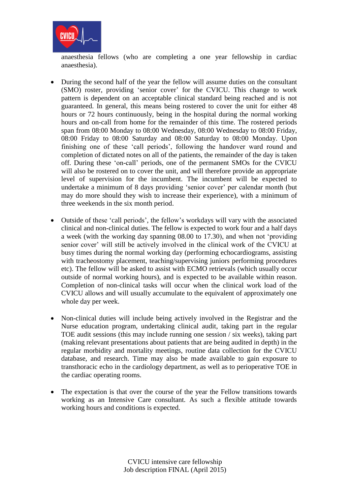

anaesthesia fellows (who are completing a one year fellowship in cardiac anaesthesia).

- During the second half of the year the fellow will assume duties on the consultant (SMO) roster, providing 'senior cover' for the CVICU. This change to work pattern is dependent on an acceptable clinical standard being reached and is not guaranteed. In general, this means being rostered to cover the unit for either 48 hours or 72 hours continuously, being in the hospital during the normal working hours and on-call from home for the remainder of this time. The rostered periods span from 08:00 Monday to 08:00 Wednesday, 08:00 Wednesday to 08:00 Friday, 08:00 Friday to 08:00 Saturday and 08:00 Saturday to 08:00 Monday. Upon finishing one of these 'call periods', following the handover ward round and completion of dictated notes on all of the patients, the remainder of the day is taken off. During these 'on-call' periods, one of the permanent SMOs for the CVICU will also be rostered on to cover the unit, and will therefore provide an appropriate level of supervision for the incumbent. The incumbent will be expected to undertake a minimum of 8 days providing 'senior cover' per calendar month (but may do more should they wish to increase their experience), with a minimum of three weekends in the six month period.
- Outside of these 'call periods', the fellow's workdays will vary with the associated clinical and non-clinical duties. The fellow is expected to work four and a half days a week (with the working day spanning 08.00 to 17.30), and when not 'providing senior cover' will still be actively involved in the clinical work of the CVICU at busy times during the normal working day (performing echocardiograms, assisting with tracheostomy placement, teaching/supervising juniors performing procedures etc). The fellow will be asked to assist with ECMO retrievals (which usually occur outside of normal working hours), and is expected to be available within reason. Completion of non-clinical tasks will occur when the clinical work load of the CVICU allows and will usually accumulate to the equivalent of approximately one whole day per week.
- Non-clinical duties will include being actively involved in the Registrar and the Nurse education program, undertaking clinical audit, taking part in the regular TOE audit sessions (this may include running one session / six weeks), taking part (making relevant presentations about patients that are being audited in depth) in the regular morbidity and mortality meetings, routine data collection for the CVICU database, and research. Time may also be made available to gain exposure to transthoracic echo in the cardiology department, as well as to perioperative TOE in the cardiac operating rooms.
- The expectation is that over the course of the year the Fellow transitions towards working as an Intensive Care consultant. As such a flexible attitude towards working hours and conditions is expected.